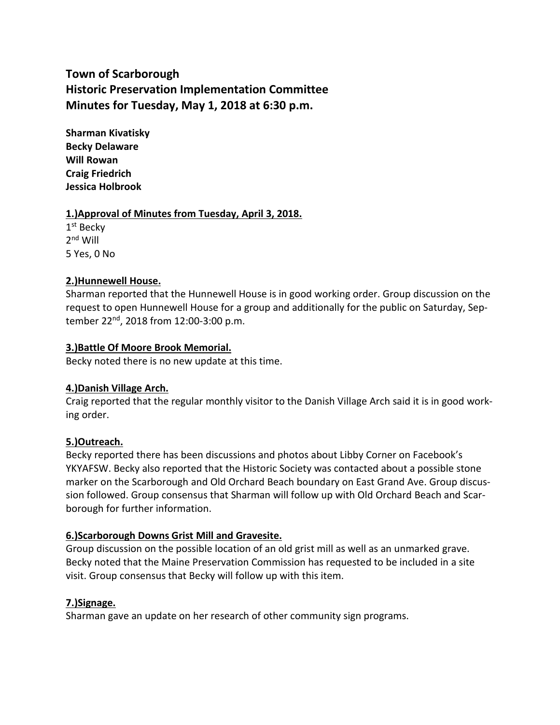# **Town of Scarborough Historic Preservation Implementation Committee Minutes for Tuesday, May 1, 2018 at 6:30 p.m.**

**Sharman Kivatisky Becky Delaware Will Rowan Craig Friedrich Jessica Holbrook**

#### **1.)Approval of Minutes from Tuesday, April 3, 2018.**

1<sup>st</sup> Becky 2<sup>nd</sup> Will 5 Yes, 0 No

## **2.)Hunnewell House.**

Sharman reported that the Hunnewell House is in good working order. Group discussion on the request to open Hunnewell House for a group and additionally for the public on Saturday, September 22nd , 2018 from 12:00-3:00 p.m.

#### **3.)Battle Of Moore Brook Memorial.**

Becky noted there is no new update at this time.

## **4.)Danish Village Arch.**

Craig reported that the regular monthly visitor to the Danish Village Arch said it is in good working order.

## **5.)Outreach.**

Becky reported there has been discussions and photos about Libby Corner on Facebook's YKYAFSW. Becky also reported that the Historic Society was contacted about a possible stone marker on the Scarborough and Old Orchard Beach boundary on East Grand Ave. Group discussion followed. Group consensus that Sharman will follow up with Old Orchard Beach and Scarborough for further information.

## **6.)Scarborough Downs Grist Mill and Gravesite.**

Group discussion on the possible location of an old grist mill as well as an unmarked grave. Becky noted that the Maine Preservation Commission has requested to be included in a site visit. Group consensus that Becky will follow up with this item.

## **7.)Signage.**

Sharman gave an update on her research of other community sign programs.